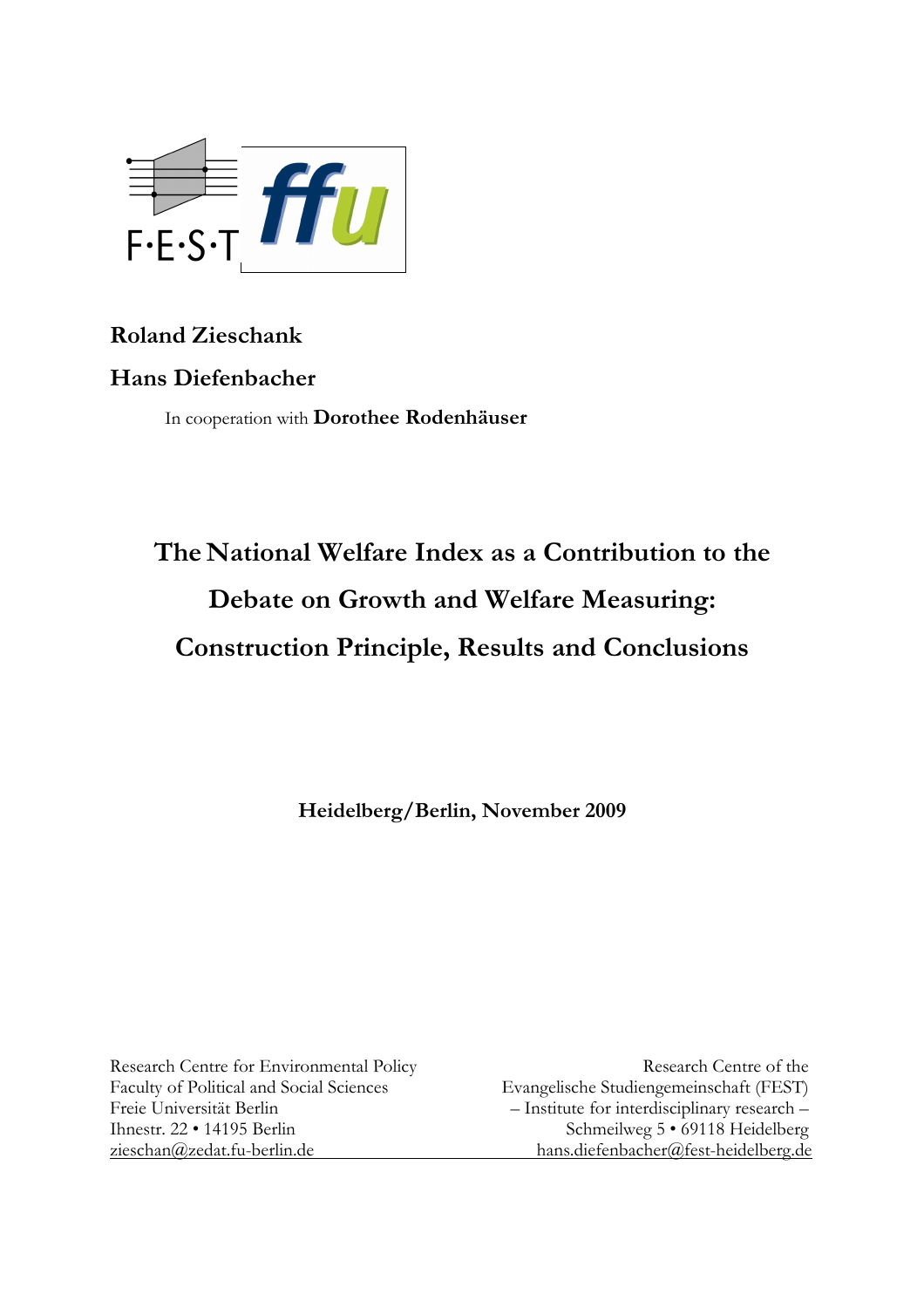

# **Roland Zieschank**

# **Hans Diefenbacher**

In cooperation with **Dorothee Rodenhäuser** 

# **The National Welfare Index as a Contribution to the Debate on Growth and Welfare Measuring: Construction Principle, Results and Conclusions**

**Heidelberg/Berlin, November 2009** 

Research Centre for Environmental Policy Research Centre of the Faculty of Political and Social Sciences Evangelische Studiengemeinschaft (FEST) Freie Universität Berlin – Institute for interdisciplinary research – Ihnestr. 22 • 14195 Berlin Schmeilweg 5 • 69118 Heidelberg zieschan@zedat.fu-berlin.de hans.diefenbacher@fest-heidelberg.de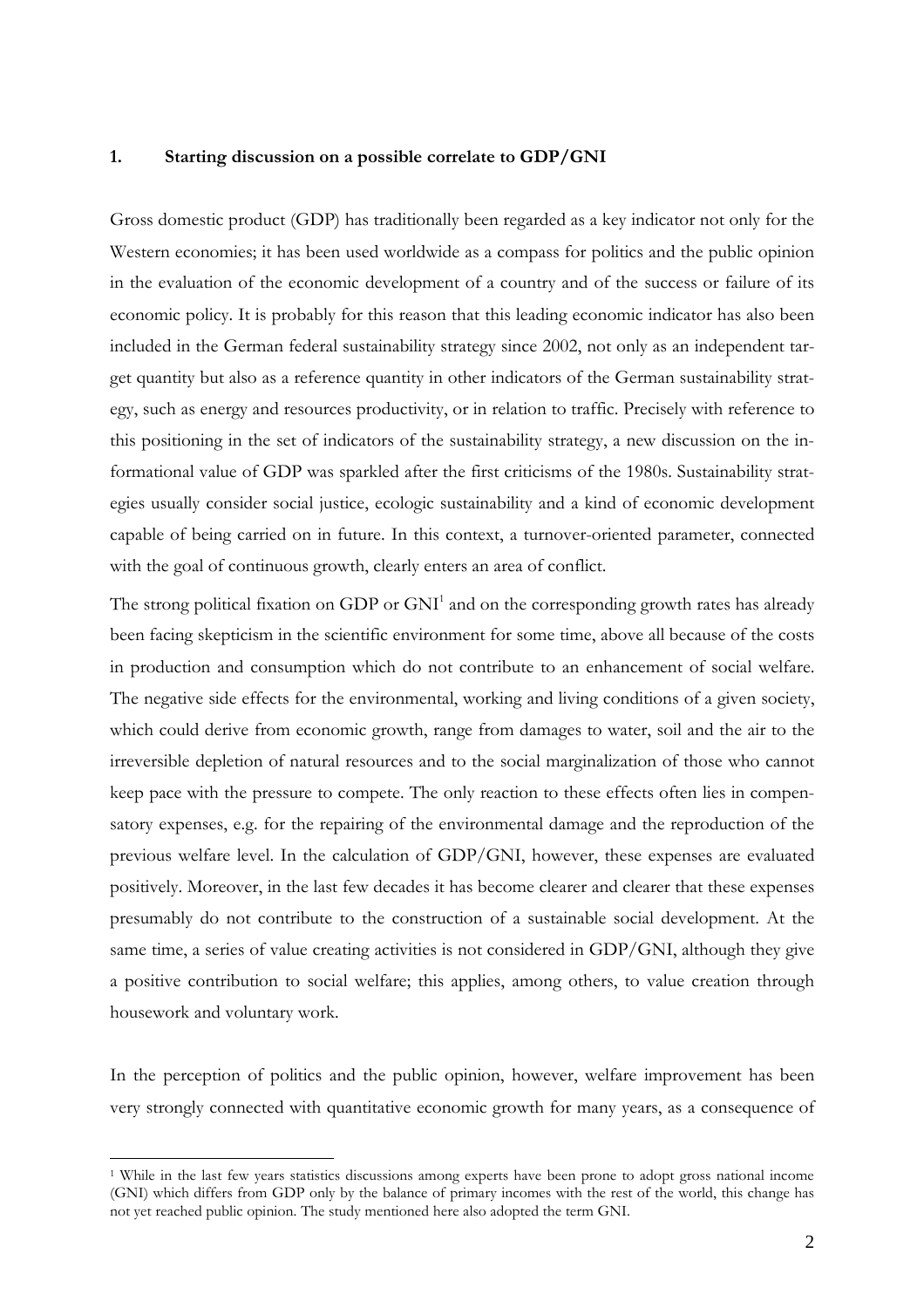#### **1. Starting discussion on a possible correlate to GDP/GNI**

Gross domestic product (GDP) has traditionally been regarded as a key indicator not only for the Western economies; it has been used worldwide as a compass for politics and the public opinion in the evaluation of the economic development of a country and of the success or failure of its economic policy. It is probably for this reason that this leading economic indicator has also been included in the German federal sustainability strategy since 2002, not only as an independent target quantity but also as a reference quantity in other indicators of the German sustainability strategy, such as energy and resources productivity, or in relation to traffic. Precisely with reference to this positioning in the set of indicators of the sustainability strategy, a new discussion on the informational value of GDP was sparkled after the first criticisms of the 1980s. Sustainability strategies usually consider social justice, ecologic sustainability and a kind of economic development capable of being carried on in future. In this context, a turnover-oriented parameter, connected with the goal of continuous growth, clearly enters an area of conflict.

The strong political fixation on  $GDP$  or  $GNI<sup>1</sup>$  and on the corresponding growth rates has already been facing skepticism in the scientific environment for some time, above all because of the costs in production and consumption which do not contribute to an enhancement of social welfare. The negative side effects for the environmental, working and living conditions of a given society, which could derive from economic growth, range from damages to water, soil and the air to the irreversible depletion of natural resources and to the social marginalization of those who cannot keep pace with the pressure to compete. The only reaction to these effects often lies in compensatory expenses, e.g. for the repairing of the environmental damage and the reproduction of the previous welfare level. In the calculation of GDP/GNI, however, these expenses are evaluated positively. Moreover, in the last few decades it has become clearer and clearer that these expenses presumably do not contribute to the construction of a sustainable social development. At the same time, a series of value creating activities is not considered in GDP/GNI, although they give a positive contribution to social welfare; this applies, among others, to value creation through housework and voluntary work.

In the perception of politics and the public opinion, however, welfare improvement has been very strongly connected with quantitative economic growth for many years, as a consequence of

 $\overline{a}$ 

<sup>&</sup>lt;sup>1</sup> While in the last few years statistics discussions among experts have been prone to adopt gross national income (GNI) which differs from GDP only by the balance of primary incomes with the rest of the world, this change has not yet reached public opinion. The study mentioned here also adopted the term GNI.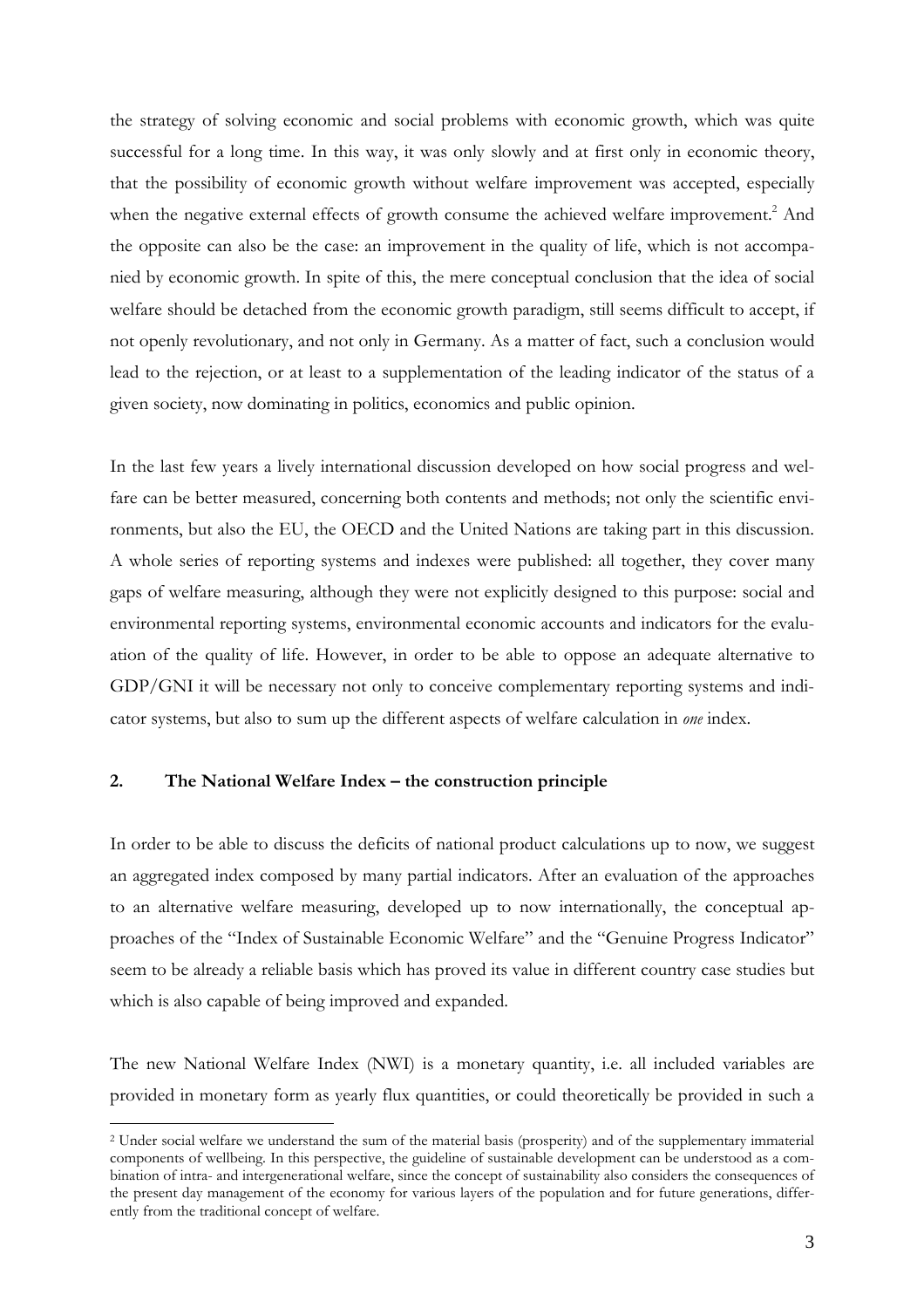the strategy of solving economic and social problems with economic growth, which was quite successful for a long time. In this way, it was only slowly and at first only in economic theory, that the possibility of economic growth without welfare improvement was accepted, especially when the negative external effects of growth consume the achieved welfare improvement.<sup>2</sup> And the opposite can also be the case: an improvement in the quality of life, which is not accompanied by economic growth. In spite of this, the mere conceptual conclusion that the idea of social welfare should be detached from the economic growth paradigm, still seems difficult to accept, if not openly revolutionary, and not only in Germany. As a matter of fact, such a conclusion would lead to the rejection, or at least to a supplementation of the leading indicator of the status of a given society, now dominating in politics, economics and public opinion.

In the last few years a lively international discussion developed on how social progress and welfare can be better measured, concerning both contents and methods; not only the scientific environments, but also the EU, the OECD and the United Nations are taking part in this discussion. A whole series of reporting systems and indexes were published: all together, they cover many gaps of welfare measuring, although they were not explicitly designed to this purpose: social and environmental reporting systems, environmental economic accounts and indicators for the evaluation of the quality of life. However, in order to be able to oppose an adequate alternative to GDP/GNI it will be necessary not only to conceive complementary reporting systems and indicator systems, but also to sum up the different aspects of welfare calculation in *one* index.

#### **2. The National Welfare Index – the construction principle**

 $\overline{a}$ 

In order to be able to discuss the deficits of national product calculations up to now, we suggest an aggregated index composed by many partial indicators. After an evaluation of the approaches to an alternative welfare measuring, developed up to now internationally, the conceptual approaches of the "Index of Sustainable Economic Welfare" and the "Genuine Progress Indicator" seem to be already a reliable basis which has proved its value in different country case studies but which is also capable of being improved and expanded.

The new National Welfare Index (NWI) is a monetary quantity, i.e. all included variables are provided in monetary form as yearly flux quantities, or could theoretically be provided in such a

<sup>2</sup> Under social welfare we understand the sum of the material basis (prosperity) and of the supplementary immaterial components of wellbeing. In this perspective, the guideline of sustainable development can be understood as a combination of intra- and intergenerational welfare, since the concept of sustainability also considers the consequences of the present day management of the economy for various layers of the population and for future generations, differently from the traditional concept of welfare.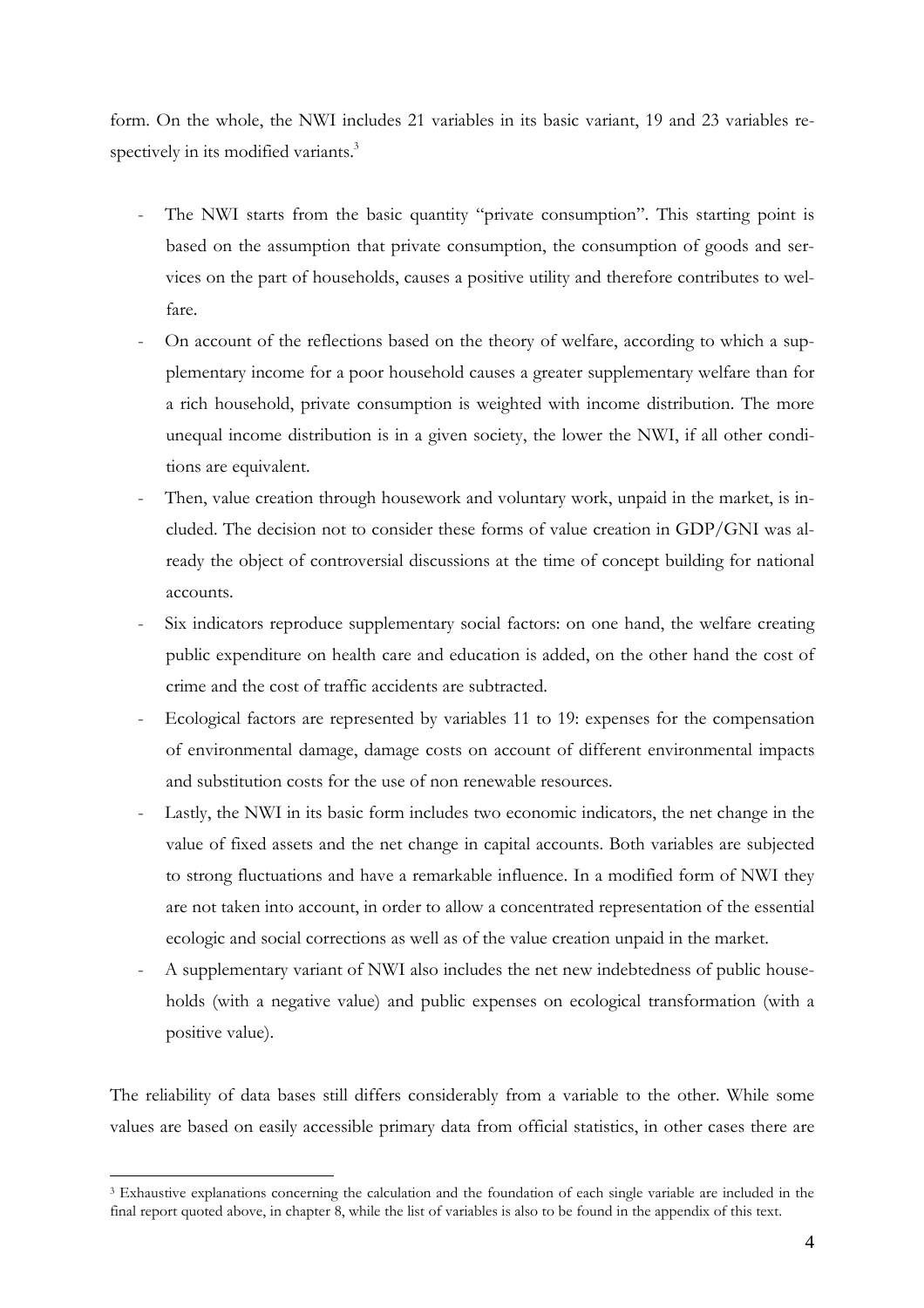form. On the whole, the NWI includes 21 variables in its basic variant, 19 and 23 variables respectively in its modified variants.<sup>3</sup>

- The NWI starts from the basic quantity "private consumption". This starting point is based on the assumption that private consumption, the consumption of goods and services on the part of households, causes a positive utility and therefore contributes to welfare.
- On account of the reflections based on the theory of welfare, according to which a supplementary income for a poor household causes a greater supplementary welfare than for a rich household, private consumption is weighted with income distribution. The more unequal income distribution is in a given society, the lower the NWI, if all other conditions are equivalent.
- Then, value creation through housework and voluntary work, unpaid in the market, is included. The decision not to consider these forms of value creation in GDP/GNI was already the object of controversial discussions at the time of concept building for national accounts.
- Six indicators reproduce supplementary social factors: on one hand, the welfare creating public expenditure on health care and education is added, on the other hand the cost of crime and the cost of traffic accidents are subtracted.
- Ecological factors are represented by variables 11 to 19: expenses for the compensation of environmental damage, damage costs on account of different environmental impacts and substitution costs for the use of non renewable resources.
- Lastly, the NWI in its basic form includes two economic indicators, the net change in the value of fixed assets and the net change in capital accounts. Both variables are subjected to strong fluctuations and have a remarkable influence. In a modified form of NWI they are not taken into account, in order to allow a concentrated representation of the essential ecologic and social corrections as well as of the value creation unpaid in the market.
- A supplementary variant of NWI also includes the net new indebtedness of public households (with a negative value) and public expenses on ecological transformation (with a positive value).

The reliability of data bases still differs considerably from a variable to the other. While some values are based on easily accessible primary data from official statistics, in other cases there are

 $\overline{a}$ 

<sup>3</sup> Exhaustive explanations concerning the calculation and the foundation of each single variable are included in the final report quoted above, in chapter 8, while the list of variables is also to be found in the appendix of this text.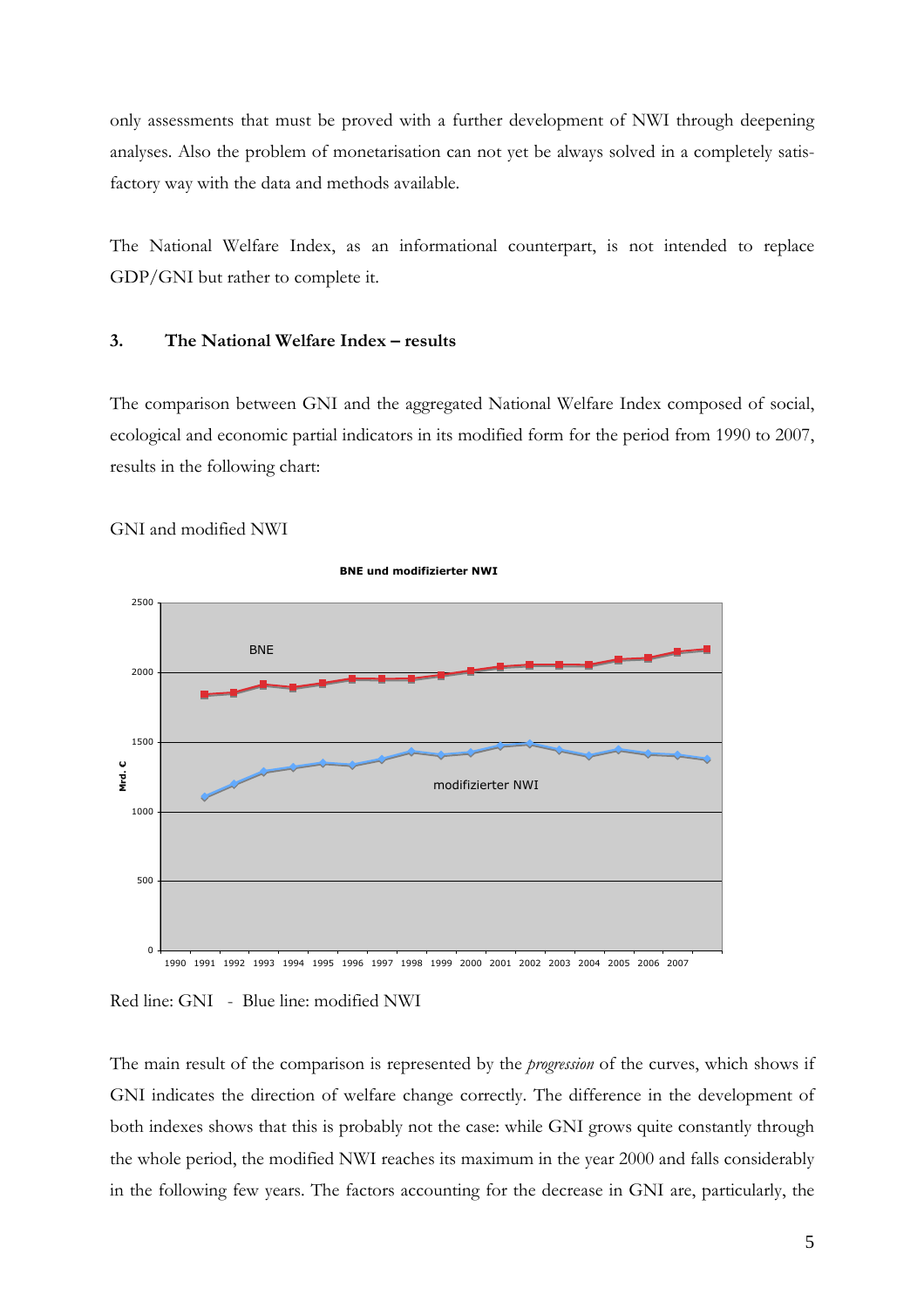only assessments that must be proved with a further development of NWI through deepening analyses. Also the problem of monetarisation can not yet be always solved in a completely satisfactory way with the data and methods available.

The National Welfare Index, as an informational counterpart, is not intended to replace GDP/GNI but rather to complete it.

#### **3. The National Welfare Index – results**

The comparison between GNI and the aggregated National Welfare Index composed of social, ecological and economic partial indicators in its modified form for the period from 1990 to 2007, results in the following chart:





**BNE und modifizierter NWI**

Red line: GNI - Blue line: modified NWI

The main result of the comparison is represented by the *progression* of the curves, which shows if GNI indicates the direction of welfare change correctly. The difference in the development of both indexes shows that this is probably not the case: while GNI grows quite constantly through the whole period, the modified NWI reaches its maximum in the year 2000 and falls considerably in the following few years. The factors accounting for the decrease in GNI are, particularly, the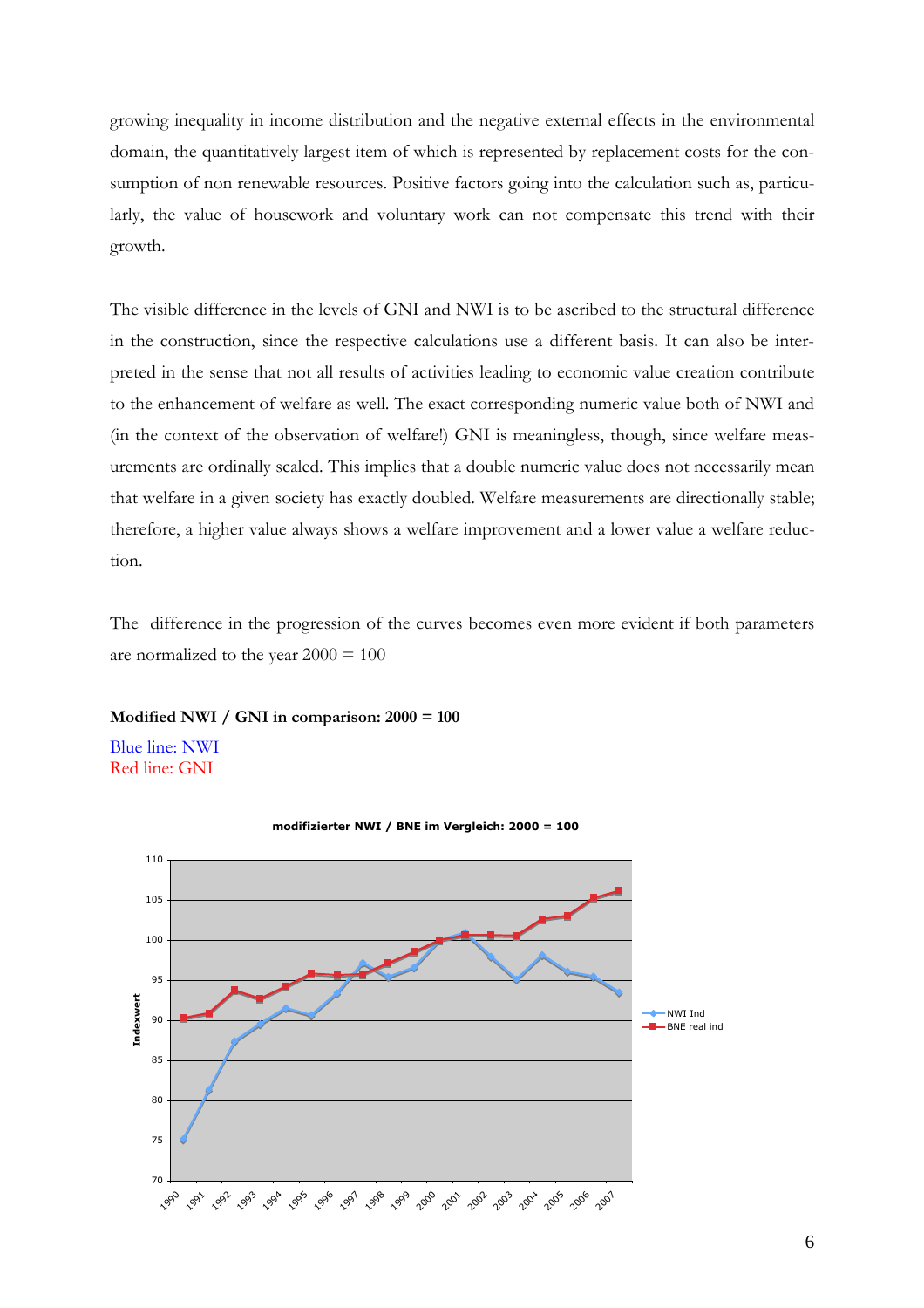growing inequality in income distribution and the negative external effects in the environmental domain, the quantitatively largest item of which is represented by replacement costs for the consumption of non renewable resources. Positive factors going into the calculation such as, particularly, the value of housework and voluntary work can not compensate this trend with their growth.

The visible difference in the levels of GNI and NWI is to be ascribed to the structural difference in the construction, since the respective calculations use a different basis. It can also be interpreted in the sense that not all results of activities leading to economic value creation contribute to the enhancement of welfare as well. The exact corresponding numeric value both of NWI and (in the context of the observation of welfare!) GNI is meaningless, though, since welfare measurements are ordinally scaled. This implies that a double numeric value does not necessarily mean that welfare in a given society has exactly doubled. Welfare measurements are directionally stable; therefore, a higher value always shows a welfare improvement and a lower value a welfare reduction.

The difference in the progression of the curves becomes even more evident if both parameters are normalized to the year  $2000 = 100$ 

#### **Modified NWI / GNI in comparison: 2000 = 100**

Blue line: NWI Red line: GNI



**modifizierter NWI / BNE im Vergleich: 2000 = 100**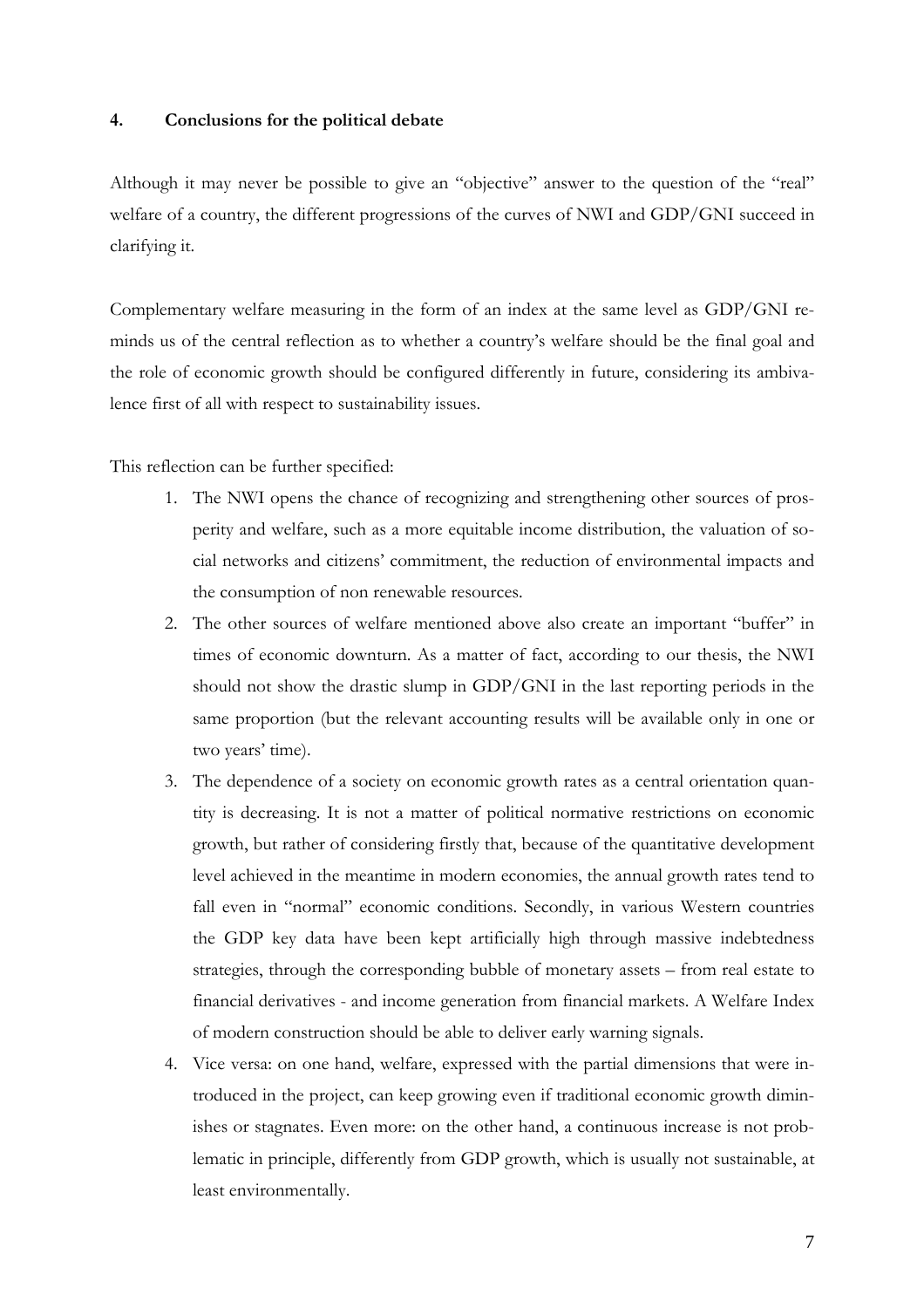#### **4. Conclusions for the political debate**

Although it may never be possible to give an "objective" answer to the question of the "real" welfare of a country, the different progressions of the curves of NWI and GDP/GNI succeed in clarifying it.

Complementary welfare measuring in the form of an index at the same level as GDP/GNI reminds us of the central reflection as to whether a country's welfare should be the final goal and the role of economic growth should be configured differently in future, considering its ambivalence first of all with respect to sustainability issues.

This reflection can be further specified:

- 1. The NWI opens the chance of recognizing and strengthening other sources of prosperity and welfare, such as a more equitable income distribution, the valuation of social networks and citizens' commitment, the reduction of environmental impacts and the consumption of non renewable resources.
- 2. The other sources of welfare mentioned above also create an important "buffer" in times of economic downturn. As a matter of fact, according to our thesis, the NWI should not show the drastic slump in GDP/GNI in the last reporting periods in the same proportion (but the relevant accounting results will be available only in one or two years' time).
- 3. The dependence of a society on economic growth rates as a central orientation quantity is decreasing. It is not a matter of political normative restrictions on economic growth, but rather of considering firstly that, because of the quantitative development level achieved in the meantime in modern economies, the annual growth rates tend to fall even in "normal" economic conditions. Secondly, in various Western countries the GDP key data have been kept artificially high through massive indebtedness strategies, through the corresponding bubble of monetary assets – from real estate to financial derivatives - and income generation from financial markets. A Welfare Index of modern construction should be able to deliver early warning signals.
- 4. Vice versa: on one hand, welfare, expressed with the partial dimensions that were introduced in the project, can keep growing even if traditional economic growth diminishes or stagnates. Even more: on the other hand, a continuous increase is not problematic in principle, differently from GDP growth, which is usually not sustainable, at least environmentally.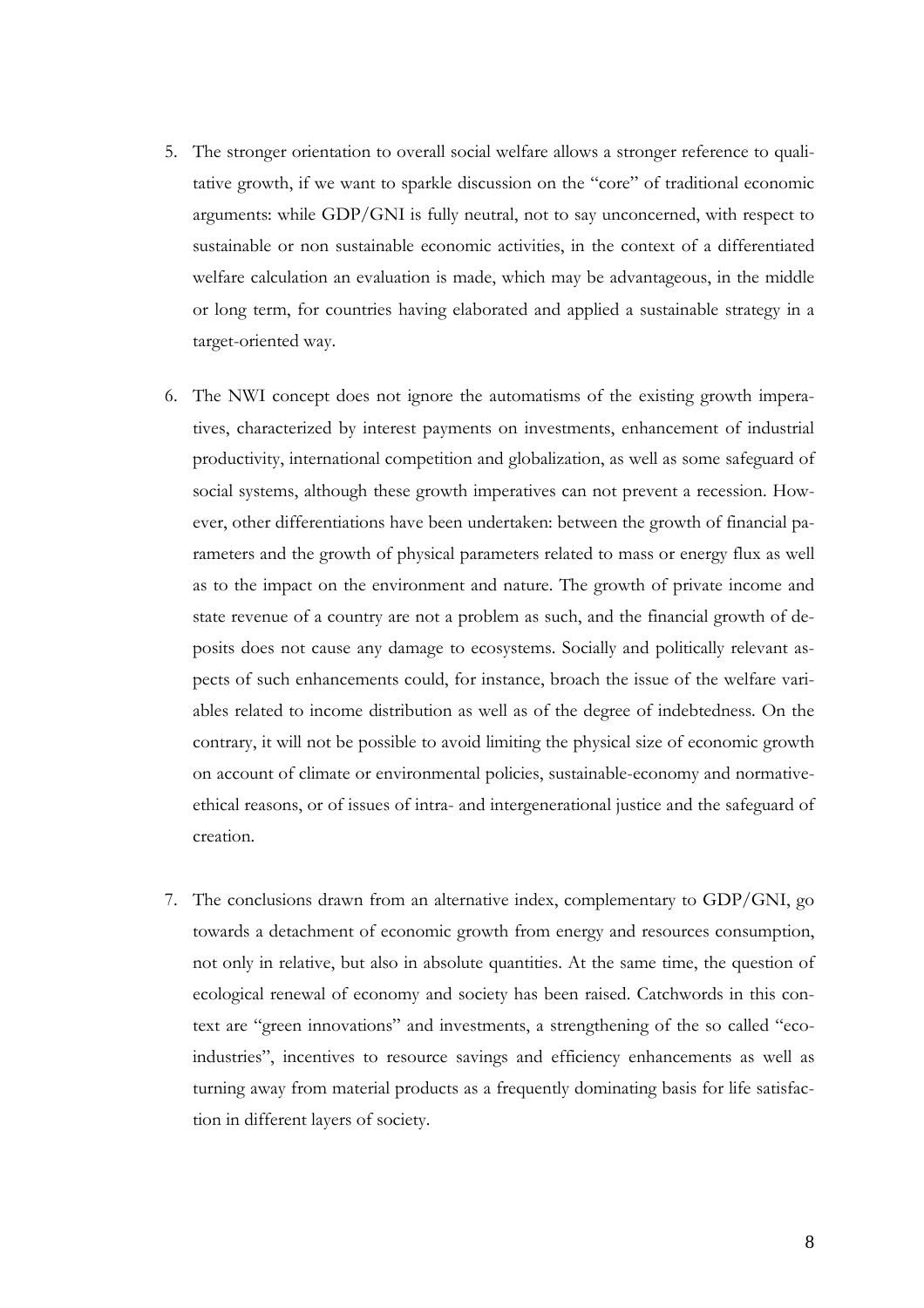- 5. The stronger orientation to overall social welfare allows a stronger reference to qualitative growth, if we want to sparkle discussion on the "core" of traditional economic arguments: while GDP/GNI is fully neutral, not to say unconcerned, with respect to sustainable or non sustainable economic activities, in the context of a differentiated welfare calculation an evaluation is made, which may be advantageous, in the middle or long term, for countries having elaborated and applied a sustainable strategy in a target-oriented way.
- 6. The NWI concept does not ignore the automatisms of the existing growth imperatives, characterized by interest payments on investments, enhancement of industrial productivity, international competition and globalization, as well as some safeguard of social systems, although these growth imperatives can not prevent a recession. However, other differentiations have been undertaken: between the growth of financial parameters and the growth of physical parameters related to mass or energy flux as well as to the impact on the environment and nature. The growth of private income and state revenue of a country are not a problem as such, and the financial growth of deposits does not cause any damage to ecosystems. Socially and politically relevant aspects of such enhancements could, for instance, broach the issue of the welfare variables related to income distribution as well as of the degree of indebtedness. On the contrary, it will not be possible to avoid limiting the physical size of economic growth on account of climate or environmental policies, sustainable-economy and normativeethical reasons, or of issues of intra- and intergenerational justice and the safeguard of creation.
- 7. The conclusions drawn from an alternative index, complementary to GDP/GNI, go towards a detachment of economic growth from energy and resources consumption, not only in relative, but also in absolute quantities. At the same time, the question of ecological renewal of economy and society has been raised. Catchwords in this context are "green innovations" and investments, a strengthening of the so called "ecoindustries", incentives to resource savings and efficiency enhancements as well as turning away from material products as a frequently dominating basis for life satisfaction in different layers of society.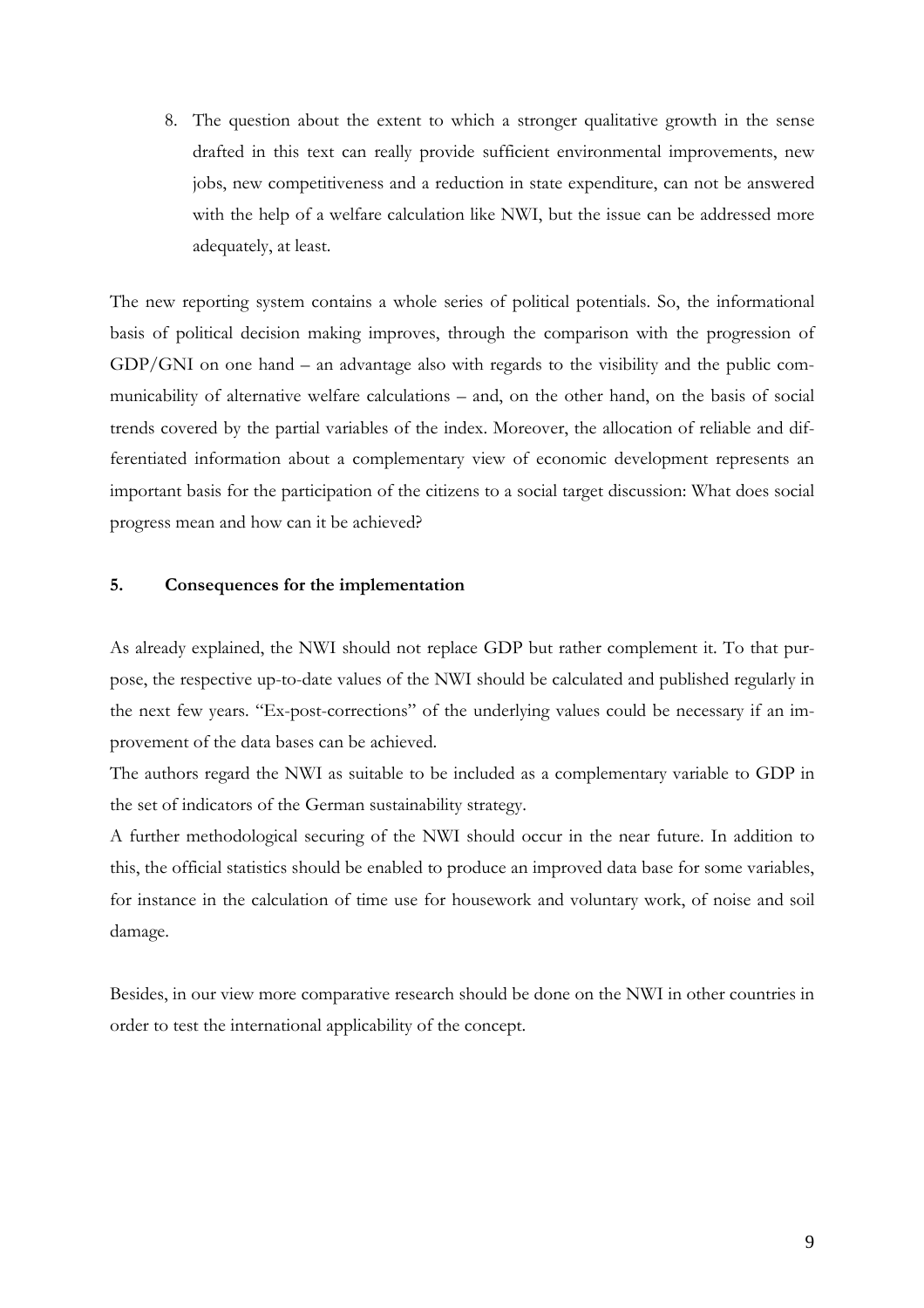8. The question about the extent to which a stronger qualitative growth in the sense drafted in this text can really provide sufficient environmental improvements, new jobs, new competitiveness and a reduction in state expenditure, can not be answered with the help of a welfare calculation like NWI, but the issue can be addressed more adequately, at least.

The new reporting system contains a whole series of political potentials. So, the informational basis of political decision making improves, through the comparison with the progression of GDP/GNI on one hand – an advantage also with regards to the visibility and the public communicability of alternative welfare calculations – and, on the other hand, on the basis of social trends covered by the partial variables of the index. Moreover, the allocation of reliable and differentiated information about a complementary view of economic development represents an important basis for the participation of the citizens to a social target discussion: What does social progress mean and how can it be achieved?

#### **5. Consequences for the implementation**

As already explained, the NWI should not replace GDP but rather complement it. To that purpose, the respective up-to-date values of the NWI should be calculated and published regularly in the next few years. "Ex-post-corrections" of the underlying values could be necessary if an improvement of the data bases can be achieved.

The authors regard the NWI as suitable to be included as a complementary variable to GDP in the set of indicators of the German sustainability strategy.

A further methodological securing of the NWI should occur in the near future. In addition to this, the official statistics should be enabled to produce an improved data base for some variables, for instance in the calculation of time use for housework and voluntary work, of noise and soil damage.

Besides, in our view more comparative research should be done on the NWI in other countries in order to test the international applicability of the concept.